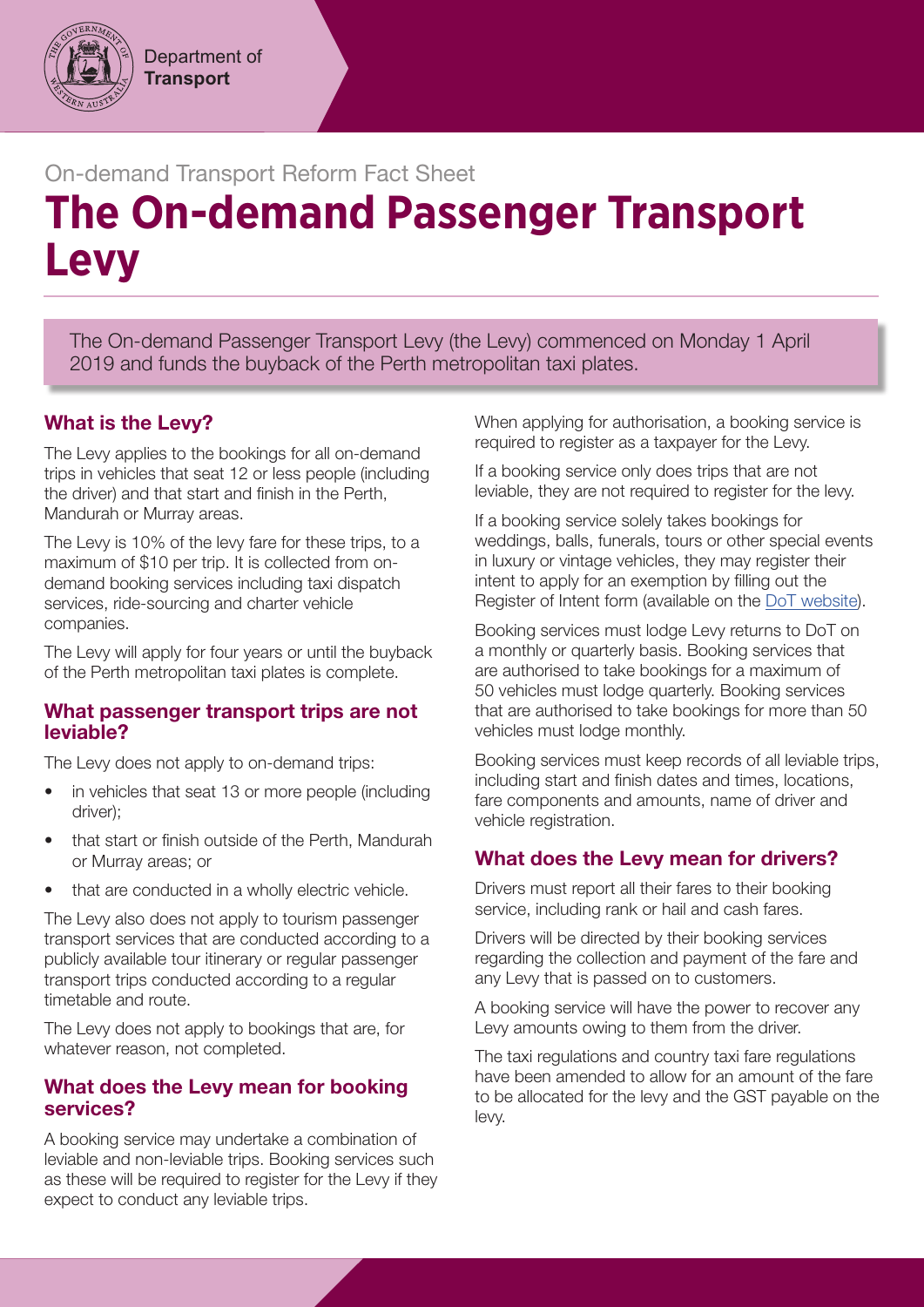## On-demand Transport Reform Fact Sheet

# **The On-demand Passenger Transport Levy**

The On-demand Passenger Transport Levy (the Levy) commenced on Monday 1 April 2019 and funds the buyback of the Perth metropolitan taxi plates.

## What is the Levy?

The Levy applies to the bookings for all on-demand trips in vehicles that seat 12 or less people (including the driver) and that start and finish in the Perth, Mandurah or Murray areas.

The Levy is 10% of the levy fare for these trips, to a maximum of \$10 per trip. It is collected from ondemand booking services including taxi dispatch services, ride-sourcing and charter vehicle companies.

The Levy will apply for four years or until the buyback of the Perth metropolitan taxi plates is complete.

### What passenger transport trips are not leviable?

The Levy does not apply to on-demand trips:

- in vehicles that seat 13 or more people (including driver);
- that start or finish outside of the Perth, Mandurah or Murray areas; or
- that are conducted in a wholly electric vehicle.

The Levy also does not apply to tourism passenger transport services that are conducted according to a publicly available tour itinerary or regular passenger transport trips conducted according to a regular timetable and route.

The Levy does not apply to bookings that are, for whatever reason, not completed.

## What does the Levy mean for booking services?

A booking service may undertake a combination of leviable and non-leviable trips. Booking services such as these will be required to register for the Levy if they expect to conduct any leviable trips.

When applying for authorisation, a booking service is required to register as a taxpayer for the Levy.

If a booking service only does trips that are not leviable, they are not required to register for the levy.

If a booking service solely takes bookings for weddings, balls, funerals, tours or other special events in luxury or vintage vehicles, they may register their intent to apply for an exemption by filling out the Register of Intent form (available on the [DoT website\)](http://www.transport.wa.gov.au/odt).

Booking services must lodge Levy returns to DoT on a monthly or quarterly basis. Booking services that are authorised to take bookings for a maximum of 50 vehicles must lodge quarterly. Booking services that are authorised to take bookings for more than 50 vehicles must lodge monthly.

Booking services must keep records of all leviable trips, including start and finish dates and times, locations, fare components and amounts, name of driver and vehicle registration.

## What does the Levy mean for drivers?

Drivers must report all their fares to their booking service, including rank or hail and cash fares.

Drivers will be directed by their booking services regarding the collection and payment of the fare and any Levy that is passed on to customers.

A booking service will have the power to recover any Levy amounts owing to them from the driver.

The taxi regulations and country taxi fare regulations have been amended to allow for an amount of the fare to be allocated for the levy and the GST payable on the levy.